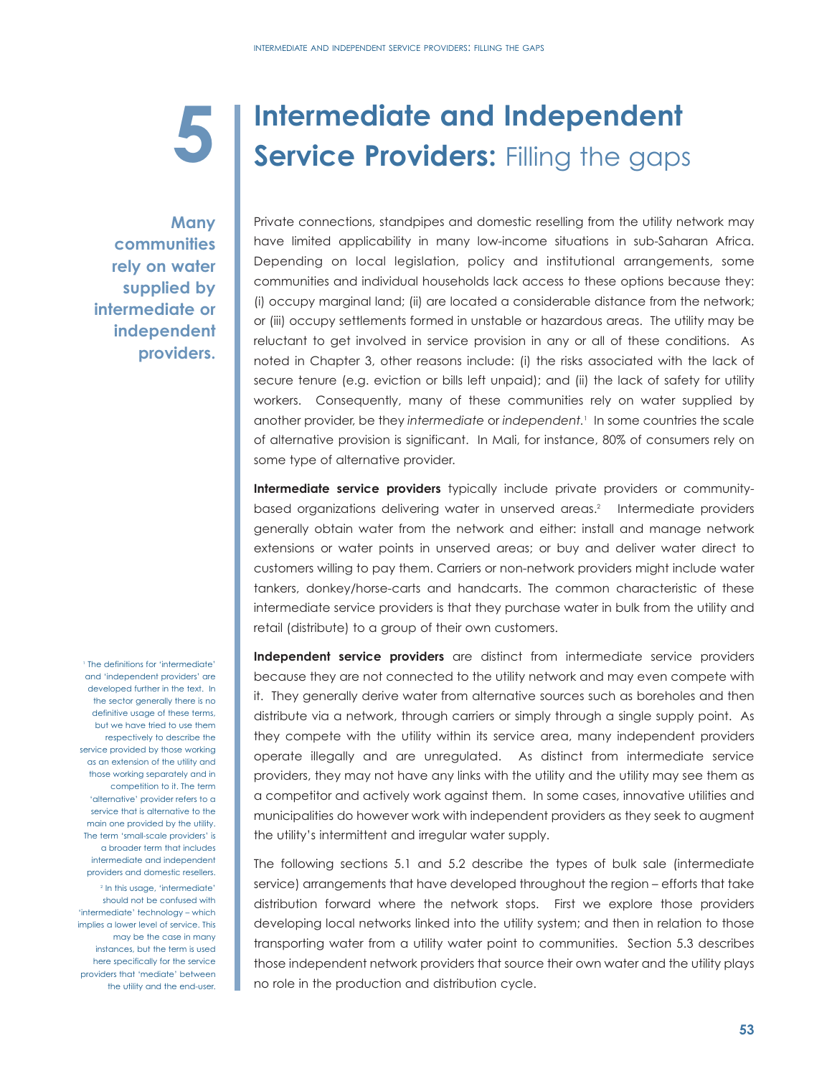# **5**

# **Intermediate and Independent Service Providers: Filling the gaps**

**Many communities rely on water supplied by intermediate or independent providers.**

Private connections, standpipes and domestic reselling from the utility network may have limited applicability in many low-income situations in sub-Saharan Africa. Depending on local legislation, policy and institutional arrangements, some communities and individual households lack access to these options because they: (i) occupy marginal land; (ii) are located a considerable distance from the network; or (iii) occupy settlements formed in unstable or hazardous areas. The utility may be reluctant to get involved in service provision in any or all of these conditions. As noted in Chapter 3, other reasons include: (i) the risks associated with the lack of secure tenure (e.g. eviction or bills left unpaid); and (ii) the lack of safety for utility workers. Consequently, many of these communities rely on water supplied by another provider, be they *intermediate* or *independent.*<sup>1</sup> In some countries the scale of alternative provision is significant. In Mali, for instance, 80% of consumers rely on some type of alternative provider.

**Intermediate service providers** typically include private providers or communitybased organizations delivering water in unserved areas.<sup>2</sup> Intermediate providers generally obtain water from the network and either: install and manage network extensions or water points in unserved areas; or buy and deliver water direct to customers willing to pay them. Carriers or non-network providers might include water tankers, donkey/horse-carts and handcarts. The common characteristic of these intermediate service providers is that they purchase water in bulk from the utility and retail (distribute) to a group of their own customers.

**Independent service providers** are distinct from intermediate service providers because they are not connected to the utility network and may even compete with it. They generally derive water from alternative sources such as boreholes and then distribute via a network, through carriers or simply through a single supply point. As they compete with the utility within its service area, many independent providers operate illegally and are unregulated. As distinct from intermediate service providers, they may not have any links with the utility and the utility may see them as a competitor and actively work against them. In some cases, innovative utilities and municipalities do however work with independent providers as they seek to augment the utility's intermittent and irregular water supply.

The following sections 5.1 and 5.2 describe the types of bulk sale (intermediate service) arrangements that have developed throughout the region – efforts that take distribution forward where the network stops. First we explore those providers developing local networks linked into the utility system; and then in relation to those transporting water from a utility water point to communities. Section 5.3 describes those independent network providers that source their own water and the utility plays no role in the production and distribution cycle.

<sup>1</sup> The definitions for 'intermediate' and 'independent providers' are developed further in the text. In the sector generally there is no definitive usage of these terms, but we have tried to use them respectively to describe the service provided by those working as an extension of the utility and those working separately and in competition to it. The term 'alternative' provider refers to a service that is alternative to the main one provided by the utility. The term 'small-scale providers' is a broader term that includes intermediate and independent providers and domestic resellers.

<sup>2</sup> In this usage, 'intermediate' should not be confused with 'intermediate' technology – which implies a lower level of service. This may be the case in many instances, but the term is used here specifically for the service providers that 'mediate' between the utility and the end-user.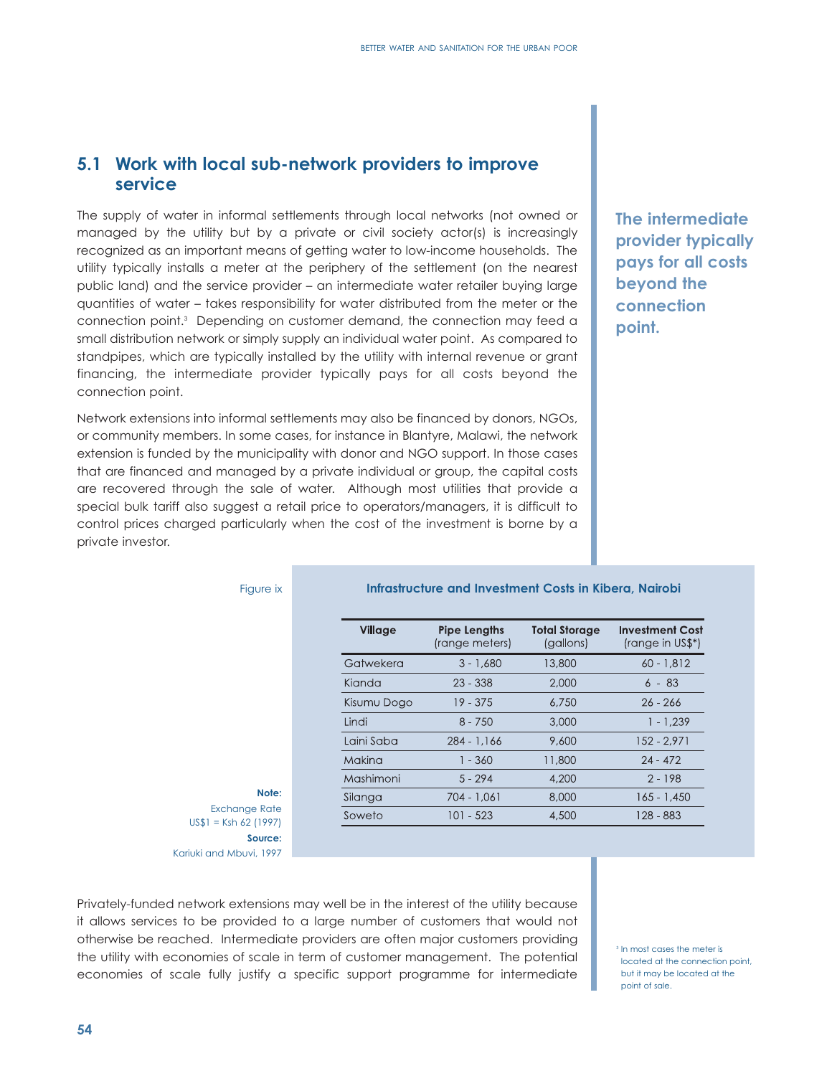# **5.1 Work with local sub-network providers to improve service**

The supply of water in informal settlements through local networks (not owned or managed by the utility but by a private or civil society actor(s) is increasingly recognized as an important means of getting water to low-income households. The utility typically installs a meter at the periphery of the settlement (on the nearest public land) and the service provider – an intermediate water retailer buying large quantities of water – takes responsibility for water distributed from the meter or the connection point.3 Depending on customer demand, the connection may feed a small distribution network or simply supply an individual water point. As compared to standpipes, which are typically installed by the utility with internal revenue or grant financing, the intermediate provider typically pays for all costs beyond the connection point.

Network extensions into informal settlements may also be financed by donors, NGOs, or community members. In some cases, for instance in Blantyre, Malawi, the network extension is funded by the municipality with donor and NGO support. In those cases that are financed and managed by a private individual or group, the capital costs are recovered through the sale of water. Although most utilities that provide a special bulk tariff also suggest a retail price to operators/managers, it is difficult to control prices charged particularly when the cost of the investment is borne by a private investor.

**The intermediate provider typically pays for all costs beyond the connection point.**

|  | Figure ix |  |
|--|-----------|--|
|  |           |  |

#### **Infrastructure and Investment Costs in Kibera, Nairobi**

| Village     | <b>Pipe Lengths</b><br>(range meters) | <b>Total Storage</b><br>(gallons) | <b>Investment Cost</b><br>(range in US\$*) |
|-------------|---------------------------------------|-----------------------------------|--------------------------------------------|
| Gatwekera   | $3 - 1.680$                           | 13,800                            | $60 - 1,812$                               |
| Kianda      | $23 - 338$                            | 2,000                             | $6 - 83$                                   |
| Kisumu Dogo | $19 - 375$                            | 6,750                             | $26 - 266$                                 |
| Lindi       | $8 - 750$                             | 3,000                             | $1 - 1.239$                                |
| Laini Saba  | $284 - 1.166$                         | 9.600                             | $152 - 2.971$                              |
| Makina      | $1 - 360$                             | 11,800                            | $24 - 472$                                 |
| Mashimoni   | $5 - 294$                             | 4,200                             | $2 - 198$                                  |
| Silanga     | 704 - 1,061                           | 8,000                             | $165 - 1.450$                              |
| Soweto      | 101 - 523                             | 4,500                             | 128 - 883                                  |

**Note:** Exchange Rate US\$1 = Ksh 62 (1997) **Source:** Kariuki and Mbuvi, 1997

Privately-funded network extensions may well be in the interest of the utility because it allows services to be provided to a large number of customers that would not otherwise be reached. Intermediate providers are often major customers providing the utility with economies of scale in term of customer management. The potential economies of scale fully justify a specific support programme for intermediate

<sup>3</sup> In most cases the meter is located at the connection point, but it may be located at the point of sale.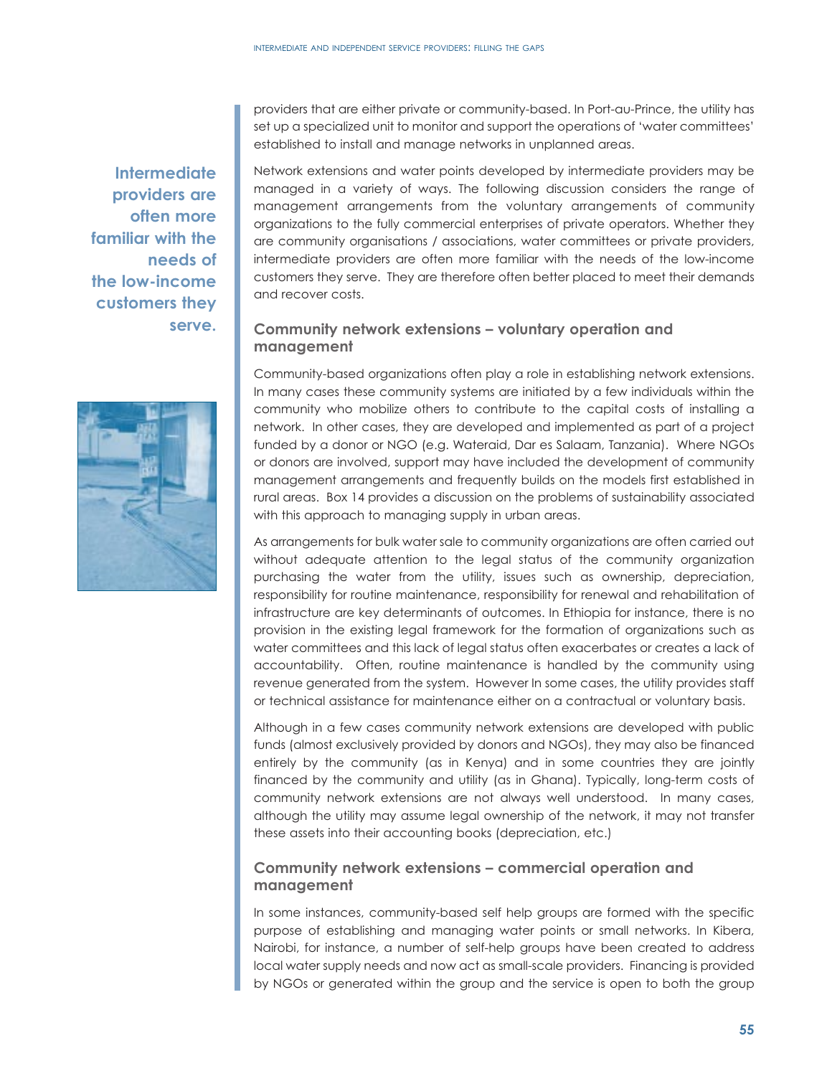and recover costs.

**Intermediate providers are often more familiar with the needs of the low-income customers they serve.**

Network extensions and water points developed by intermediate providers may be managed in a variety of ways. The following discussion considers the range of management arrangements from the voluntary arrangements of community organizations to the fully commercial enterprises of private operators. Whether they are community organisations / associations, water committees or private providers, intermediate providers are often more familiar with the needs of the low-income customers they serve. They are therefore often better placed to meet their demands

providers that are either private or community-based. In Port-au-Prince, the utility has set up a specialized unit to monitor and support the operations of 'water committees'

# **Community network extensions – voluntary operation and management**

established to install and manage networks in unplanned areas.

Community-based organizations often play a role in establishing network extensions. In many cases these community systems are initiated by a few individuals within the community who mobilize others to contribute to the capital costs of installing a network. In other cases, they are developed and implemented as part of a project funded by a donor or NGO (e.g. Wateraid, Dar es Salaam, Tanzania). Where NGOs or donors are involved, support may have included the development of community management arrangements and frequently builds on the models first established in rural areas. Box 14 provides a discussion on the problems of sustainability associated with this approach to managing supply in urban areas.

As arrangements for bulk water sale to community organizations are often carried out without adequate attention to the legal status of the community organization purchasing the water from the utility, issues such as ownership, depreciation, responsibility for routine maintenance, responsibility for renewal and rehabilitation of infrastructure are key determinants of outcomes. In Ethiopia for instance, there is no provision in the existing legal framework for the formation of organizations such as water committees and this lack of legal status often exacerbates or creates a lack of accountability. Often, routine maintenance is handled by the community using revenue generated from the system. However In some cases, the utility provides staff or technical assistance for maintenance either on a contractual or voluntary basis.

Although in a few cases community network extensions are developed with public funds (almost exclusively provided by donors and NGOs), they may also be financed entirely by the community (as in Kenya) and in some countries they are jointly financed by the community and utility (as in Ghana). Typically, long-term costs of community network extensions are not always well understood. In many cases, although the utility may assume legal ownership of the network, it may not transfer these assets into their accounting books (depreciation, etc.)

# **Community network extensions – commercial operation and management**

In some instances, community-based self help groups are formed with the specific purpose of establishing and managing water points or small networks. In Kibera, Nairobi, for instance, a number of self-help groups have been created to address local water supply needs and now act as small-scale providers. Financing is provided by NGOs or generated within the group and the service is open to both the group

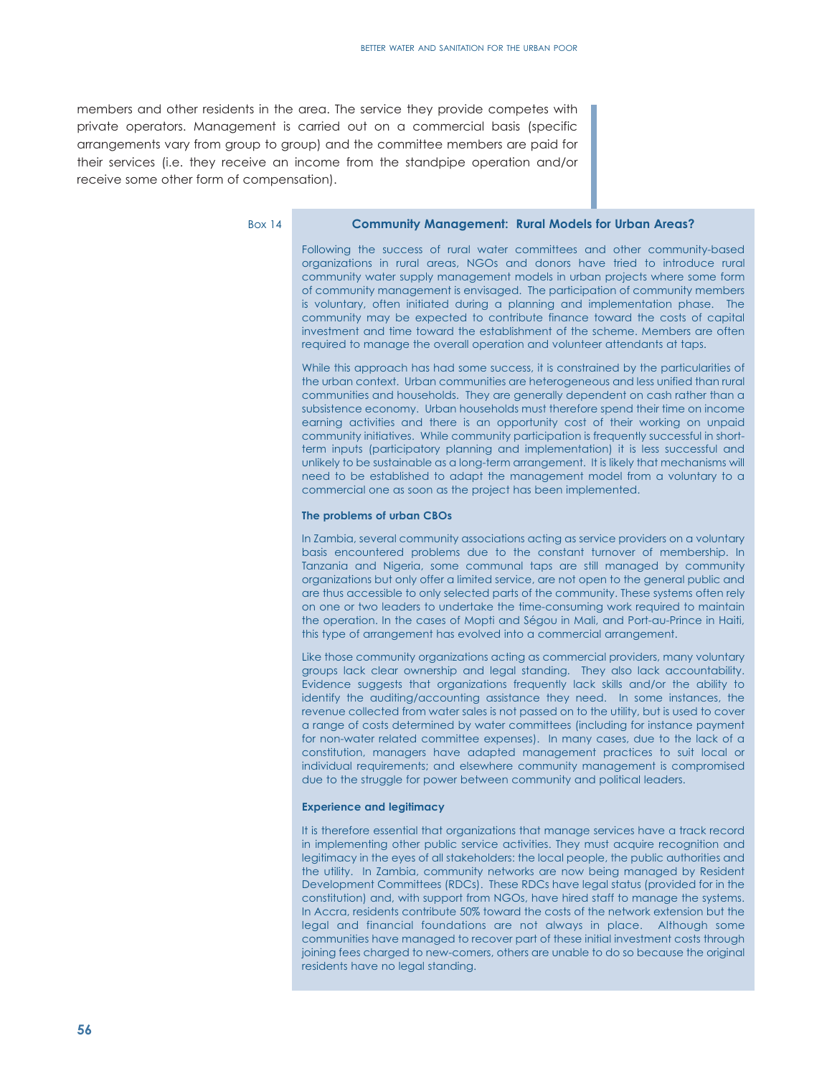members and other residents in the area. The service they provide competes with private operators. Management is carried out on a commercial basis (specific arrangements vary from group to group) and the committee members are paid for their services (i.e. they receive an income from the standpipe operation and/or receive some other form of compensation).

Box 14

#### **Community Management: Rural Models for Urban Areas?**

Following the success of rural water committees and other community-based organizations in rural areas, NGOs and donors have tried to introduce rural community water supply management models in urban projects where some form of community management is envisaged. The participation of community members is voluntary, often initiated during a planning and implementation phase. The community may be expected to contribute finance toward the costs of capital investment and time toward the establishment of the scheme. Members are often required to manage the overall operation and volunteer attendants at taps.

While this approach has had some success, it is constrained by the particularities of the urban context. Urban communities are heterogeneous and less unified than rural communities and households. They are generally dependent on cash rather than a subsistence economy. Urban households must therefore spend their time on income earning activities and there is an opportunity cost of their working on unpaid community initiatives. While community participation is frequently successful in shortterm inputs (participatory planning and implementation) it is less successful and unlikely to be sustainable as a long-term arrangement. It is likely that mechanisms will need to be established to adapt the management model from a voluntary to a commercial one as soon as the project has been implemented.

#### **The problems of urban CBOs**

In Zambia, several community associations acting as service providers on a voluntary basis encountered problems due to the constant turnover of membership. In Tanzania and Nigeria, some communal taps are still managed by community organizations but only offer a limited service, are not open to the general public and are thus accessible to only selected parts of the community. These systems often rely on one or two leaders to undertake the time-consuming work required to maintain the operation. In the cases of Mopti and Ségou in Mali, and Port-au-Prince in Haiti, this type of arrangement has evolved into a commercial arrangement.

Like those community organizations acting as commercial providers, many voluntary groups lack clear ownership and legal standing. They also lack accountability. Evidence suggests that organizations frequently lack skills and/or the ability to identify the auditing/accounting assistance they need. In some instances, the revenue collected from water sales is not passed on to the utility, but is used to cover a range of costs determined by water committees (including for instance payment for non-water related committee expenses). In many cases, due to the lack of a constitution, managers have adapted management practices to suit local or individual requirements; and elsewhere community management is compromised due to the struggle for power between community and political leaders.

#### **Experience and legitimacy**

It is therefore essential that organizations that manage services have a track record in implementing other public service activities. They must acquire recognition and legitimacy in the eyes of all stakeholders: the local people, the public authorities and the utility. In Zambia, community networks are now being managed by Resident Development Committees (RDCs). These RDCs have legal status (provided for in the constitution) and, with support from NGOs, have hired staff to manage the systems. In Accra, residents contribute 50% toward the costs of the network extension but the legal and financial foundations are not always in place. Although some communities have managed to recover part of these initial investment costs through joining fees charged to new-comers, others are unable to do so because the original residents have no legal standing.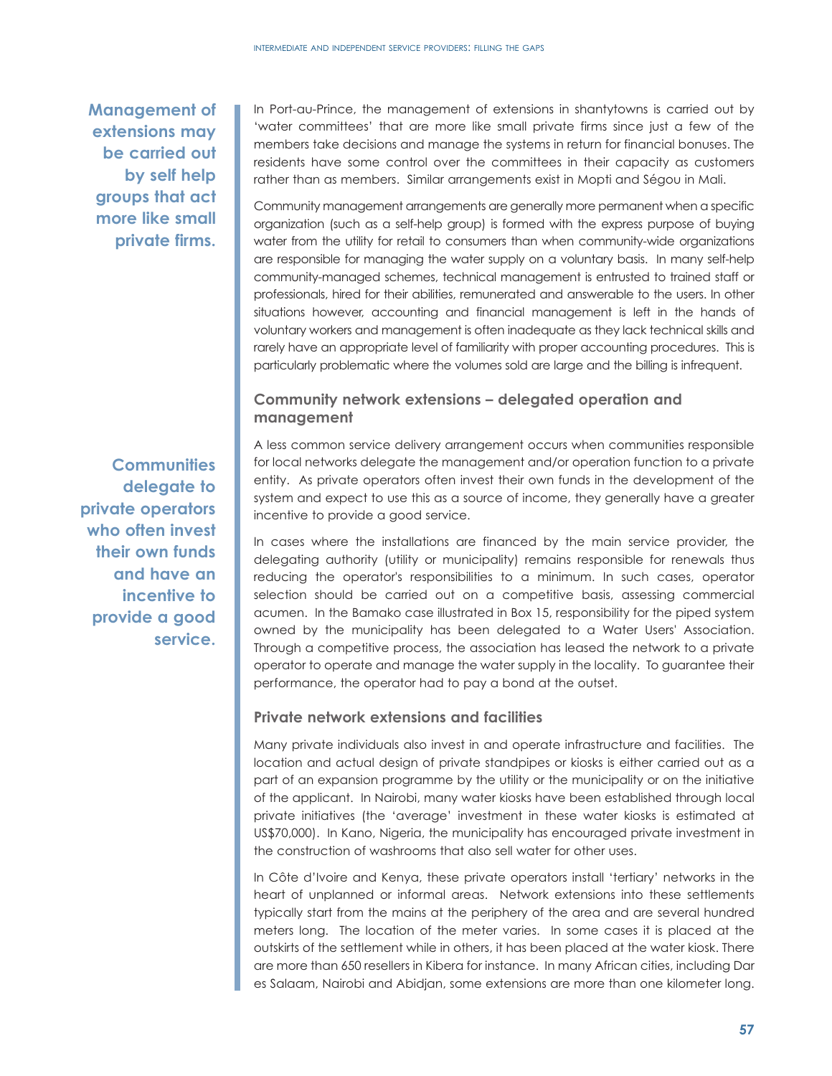**Management of extensions may be carried out by self help groups that act more like small private firms.**

**Communities delegate to private operators who often invest their own funds and have an incentive to provide a good service.** 

In Port-au-Prince, the management of extensions in shantytowns is carried out by 'water committees' that are more like small private firms since just a few of the members take decisions and manage the systems in return for financial bonuses. The residents have some control over the committees in their capacity as customers rather than as members. Similar arrangements exist in Mopti and Ségou in Mali.

Community management arrangements are generally more permanent when a specific organization (such as a self-help group) is formed with the express purpose of buying water from the utility for retail to consumers than when community-wide organizations are responsible for managing the water supply on a voluntary basis. In many self-help community-managed schemes, technical management is entrusted to trained staff or professionals, hired for their abilities, remunerated and answerable to the users. In other situations however, accounting and financial management is left in the hands of voluntary workers and management is often inadequate as they lack technical skills and rarely have an appropriate level of familiarity with proper accounting procedures. This is particularly problematic where the volumes sold are large and the billing is infrequent.

# **Community network extensions – delegated operation and management**

A less common service delivery arrangement occurs when communities responsible for local networks delegate the management and/or operation function to a private entity. As private operators often invest their own funds in the development of the system and expect to use this as a source of income, they generally have a greater incentive to provide a good service.

In cases where the installations are financed by the main service provider, the delegating authority (utility or municipality) remains responsible for renewals thus reducing the operator's responsibilities to a minimum. In such cases, operator selection should be carried out on a competitive basis, assessing commercial acumen. In the Bamako case illustrated in Box 15, responsibility for the piped system owned by the municipality has been delegated to a Water Users' Association. Through a competitive process, the association has leased the network to a private operator to operate and manage the water supply in the locality. To guarantee their performance, the operator had to pay a bond at the outset.

# **Private network extensions and facilities**

Many private individuals also invest in and operate infrastructure and facilities. The location and actual design of private standpipes or kiosks is either carried out as a part of an expansion programme by the utility or the municipality or on the initiative of the applicant. In Nairobi, many water kiosks have been established through local private initiatives (the 'average' investment in these water kiosks is estimated at US\$70,000). In Kano, Nigeria, the municipality has encouraged private investment in the construction of washrooms that also sell water for other uses.

In Côte d'Ivoire and Kenya, these private operators install 'tertiary' networks in the heart of unplanned or informal areas. Network extensions into these settlements typically start from the mains at the periphery of the area and are several hundred meters long. The location of the meter varies. In some cases it is placed at the outskirts of the settlement while in others, it has been placed at the water kiosk. There are more than 650 resellers in Kibera for instance. In many African cities, including Dar es Salaam, Nairobi and Abidjan, some extensions are more than one kilometer long.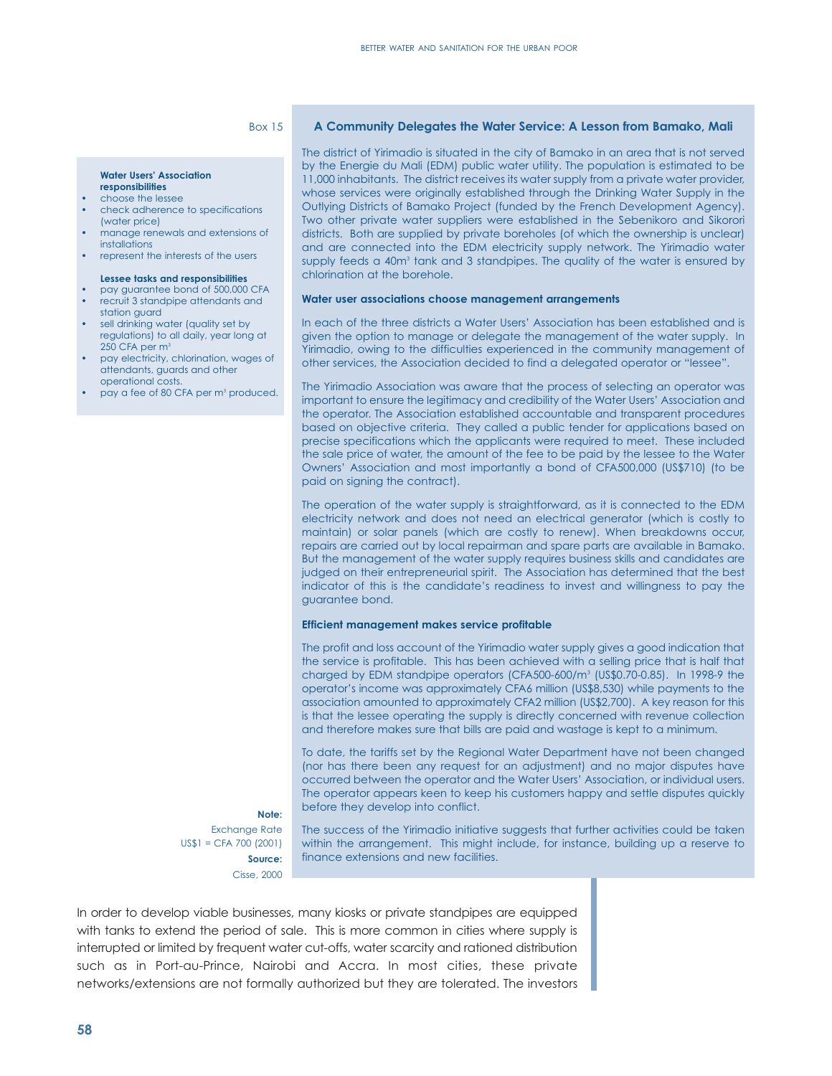#### Box 15

#### **Water Users' Association**

### **responsibilities**

- choose the lessee
- check adherence to specifications (water price)
- manage renewals and extensions of installations
- represent the interests of the users

#### **Lessee tasks and responsibilities**

- pay guarantee bond of 500,000 CFA • recruit 3 standpipe attendants and
- station guard
- sell drinking water (quality set by regulations) to all daily, year long at 250 CFA per m<sup>3</sup>
- pay electricity, chlorination, wages of attendants, guards and other operational costs.
- pay a fee of 80 CFA per m3 produced.

**Note:** Exchange Rate US\$1 = CFA 700 (2001) **Source:** Cisse, 2000

#### **A Community Delegates the Water Service: A Lesson from Bamako, Mali**

The district of Yirimadio is situated in the city of Bamako in an area that is not served by the Energie du Mali (EDM) public water utility. The population is estimated to be 11,000 inhabitants. The district receives its water supply from a private water provider, whose services were originally established through the Drinking Water Supply in the Outlying Districts of Bamako Project (funded by the French Development Agency). Two other private water suppliers were established in the Sebenikoro and Sikorori districts. Both are supplied by private boreholes (of which the ownership is unclear) and are connected into the EDM electricity supply network. The Yirimadio water supply feeds a 40m<sup>3</sup> tank and 3 standpipes. The quality of the water is ensured by chlorination at the borehole.

#### **Water user associations choose management arrangements**

In each of the three districts a Water Users' Association has been established and is given the option to manage or delegate the management of the water supply. In Yirimadio, owing to the difficulties experienced in the community management of other services, the Association decided to find a delegated operator or "lessee".

The Yirimadio Association was aware that the process of selecting an operator was important to ensure the legitimacy and credibility of the Water Users' Association and the operator. The Association established accountable and transparent procedures based on objective criteria. They called a public tender for applications based on precise specifications which the applicants were required to meet. These included the sale price of water, the amount of the fee to be paid by the lessee to the Water Owners' Association and most importantly a bond of CFA500,000 (US\$710) (to be paid on signing the contract).

The operation of the water supply is straightforward, as it is connected to the EDM electricity network and does not need an electrical generator (which is costly to maintain) or solar panels (which are costly to renew). When breakdowns occur, repairs are carried out by local repairman and spare parts are available in Bamako. But the management of the water supply requires business skills and candidates are judged on their entrepreneurial spirit. The Association has determined that the best indicator of this is the candidate's readiness to invest and willingness to pay the guarantee bond.

#### **Efficient management makes service profitable**

The profit and loss account of the Yirimadio water supply gives a good indication that the service is profitable. This has been achieved with a selling price that is half that charged by EDM standpipe operators (CFA500-600/m3 (US\$0.70-0.85). In 1998-9 the operator's income was approximately CFA6 million (US\$8,530) while payments to the association amounted to approximately CFA2 million (US\$2,700). A key reason for this is that the lessee operating the supply is directly concerned with revenue collection and therefore makes sure that bills are paid and wastage is kept to a minimum.

To date, the tariffs set by the Regional Water Department have not been changed (nor has there been any request for an adjustment) and no major disputes have occurred between the operator and the Water Users' Association, or individual users. The operator appears keen to keep his customers happy and settle disputes quickly before they develop into conflict.

The success of the Yirimadio initiative suggests that further activities could be taken within the arrangement. This might include, for instance, building up a reserve to finance extensions and new facilities.

In order to develop viable businesses, many kiosks or private standpipes are equipped with tanks to extend the period of sale. This is more common in cities where supply is interrupted or limited by frequent water cut-offs, water scarcity and rationed distribution such as in Port-au-Prince, Nairobi and Accra. In most cities, these private networks/extensions are not formally authorized but they are tolerated. The investors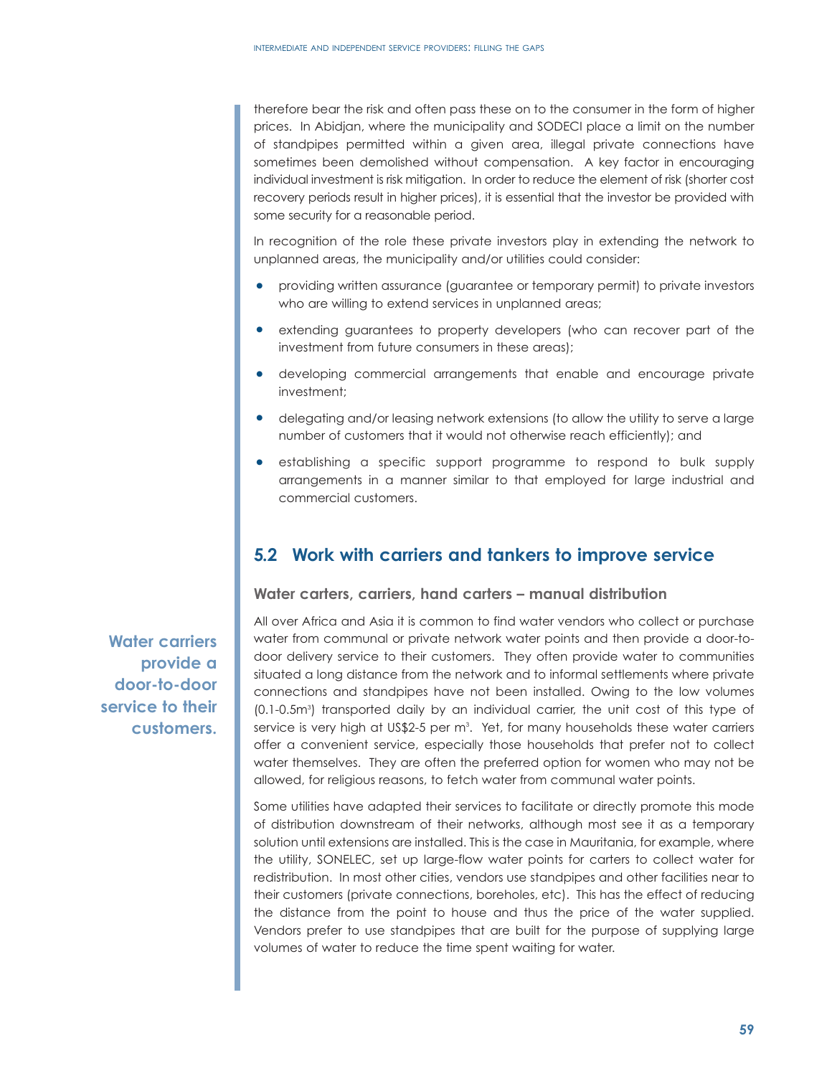therefore bear the risk and often pass these on to the consumer in the form of higher prices. In Abidjan, where the municipality and SODECI place a limit on the number of standpipes permitted within a given area, illegal private connections have sometimes been demolished without compensation. A key factor in encouraging individual investment is risk mitigation. In order to reduce the element of risk (shorter cost recovery periods result in higher prices), it is essential that the investor be provided with some security for a reasonable period.

In recognition of the role these private investors play in extending the network to unplanned areas, the municipality and/or utilities could consider:

- providing written assurance (guarantee or temporary permit) to private investors who are willing to extend services in unplanned areas;
- extending guarantees to property developers (who can recover part of the investment from future consumers in these areas);
- developing commercial arrangements that enable and encourage private investment;
- delegating and/or leasing network extensions (to allow the utility to serve a large number of customers that it would not otherwise reach efficiently); and
- establishing a specific support programme to respond to bulk supply arrangements in a manner similar to that employed for large industrial and commercial customers.

# **5.2 Work with carriers and tankers to improve service**

**Water carters, carriers, hand carters – manual distribution**

All over Africa and Asia it is common to find water vendors who collect or purchase water from communal or private network water points and then provide a door-todoor delivery service to their customers. They often provide water to communities situated a long distance from the network and to informal settlements where private connections and standpipes have not been installed. Owing to the low volumes (0.1-0.5m3 ) transported daily by an individual carrier, the unit cost of this type of service is very high at US\$2-5 per m<sup>3</sup>. Yet, for many households these water carriers offer a convenient service, especially those households that prefer not to collect water themselves. They are often the preferred option for women who may not be allowed, for religious reasons, to fetch water from communal water points.

Some utilities have adapted their services to facilitate or directly promote this mode of distribution downstream of their networks, although most see it as a temporary solution until extensions are installed. This is the case in Mauritania, for example, where the utility, SONELEC, set up large-flow water points for carters to collect water for redistribution. In most other cities, vendors use standpipes and other facilities near to their customers (private connections, boreholes, etc). This has the effect of reducing the distance from the point to house and thus the price of the water supplied. Vendors prefer to use standpipes that are built for the purpose of supplying large volumes of water to reduce the time spent waiting for water.

**Water carriers provide a door-to-door service to their customers.**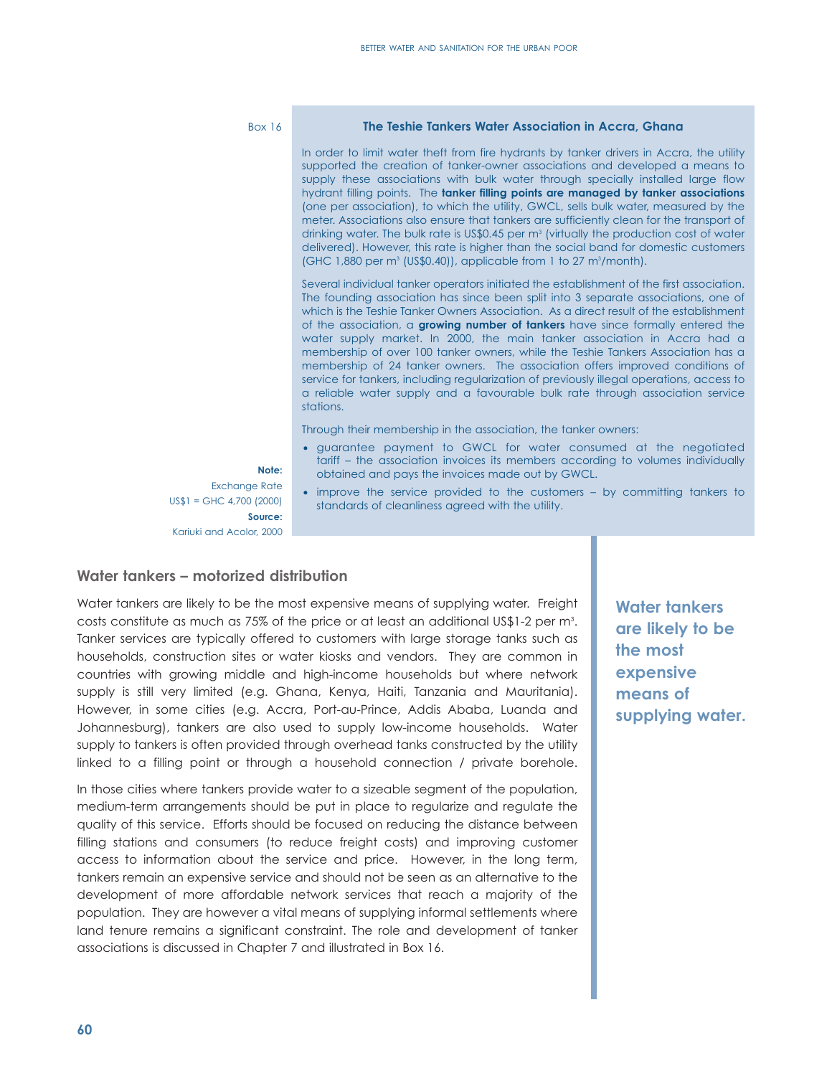#### Box 16

#### **The Teshie Tankers Water Association in Accra, Ghana**

In order to limit water theft from fire hydrants by tanker drivers in Accra, the utility supported the creation of tanker-owner associations and developed a means to supply these associations with bulk water through specially installed large flow hydrant filling points. The **tanker filling points are managed by tanker associations** (one per association), to which the utility, GWCL, sells bulk water, measured by the meter. Associations also ensure that tankers are sufficiently clean for the transport of drinking water. The bulk rate is US\$0.45 per  $m<sup>3</sup>$  (virtually the production cost of water delivered). However, this rate is higher than the social band for domestic customers (GHC 1,880 per m<sup>3</sup> (US\$0.40)), applicable from 1 to 27 m<sup>3</sup>/month).

Several individual tanker operators initiated the establishment of the first association. The founding association has since been split into 3 separate associations, one of which is the Teshie Tanker Owners Association. As a direct result of the establishment of the association, a **growing number of tankers** have since formally entered the water supply market. In 2000, the main tanker association in Accra had a membership of over 100 tanker owners, while the Teshie Tankers Association has a membership of 24 tanker owners. The association offers improved conditions of service for tankers, including regularization of previously illegal operations, access to a reliable water supply and a favourable bulk rate through association service stations.

Through their membership in the association, the tanker owners:

- guarantee payment to GWCL for water consumed at the negotiated tariff – the association invoices its members according to volumes individually obtained and pays the invoices made out by GWCL.
- improve the service provided to the customers by committing tankers to standards of cleanliness agreed with the utility.

Exchange Rate US\$1 = GHC 4,700 (2000) **Source:** Kariuki and Acolor, 2000

**Note:**

#### **Water tankers – motorized distribution**

Water tankers are likely to be the most expensive means of supplying water. Freight costs constitute as much as 75% of the price or at least an additional US\$1-2 per m $^{\rm 3}.$ Tanker services are typically offered to customers with large storage tanks such as households, construction sites or water kiosks and vendors. They are common in countries with growing middle and high-income households but where network supply is still very limited (e.g. Ghana, Kenya, Haiti, Tanzania and Mauritania). However, in some cities (e.g. Accra, Port-au-Prince, Addis Ababa, Luanda and Johannesburg), tankers are also used to supply low-income households. Water supply to tankers is often provided through overhead tanks constructed by the utility linked to a filling point or through a household connection / private borehole.

In those cities where tankers provide water to a sizeable segment of the population, medium-term arrangements should be put in place to regularize and regulate the quality of this service. Efforts should be focused on reducing the distance between filling stations and consumers (to reduce freight costs) and improving customer access to information about the service and price. However, in the long term, tankers remain an expensive service and should not be seen as an alternative to the development of more affordable network services that reach a majority of the population. They are however a vital means of supplying informal settlements where land tenure remains a significant constraint. The role and development of tanker associations is discussed in Chapter 7 and illustrated in Box 16.

**Water tankers are likely to be the most expensive means of supplying water.**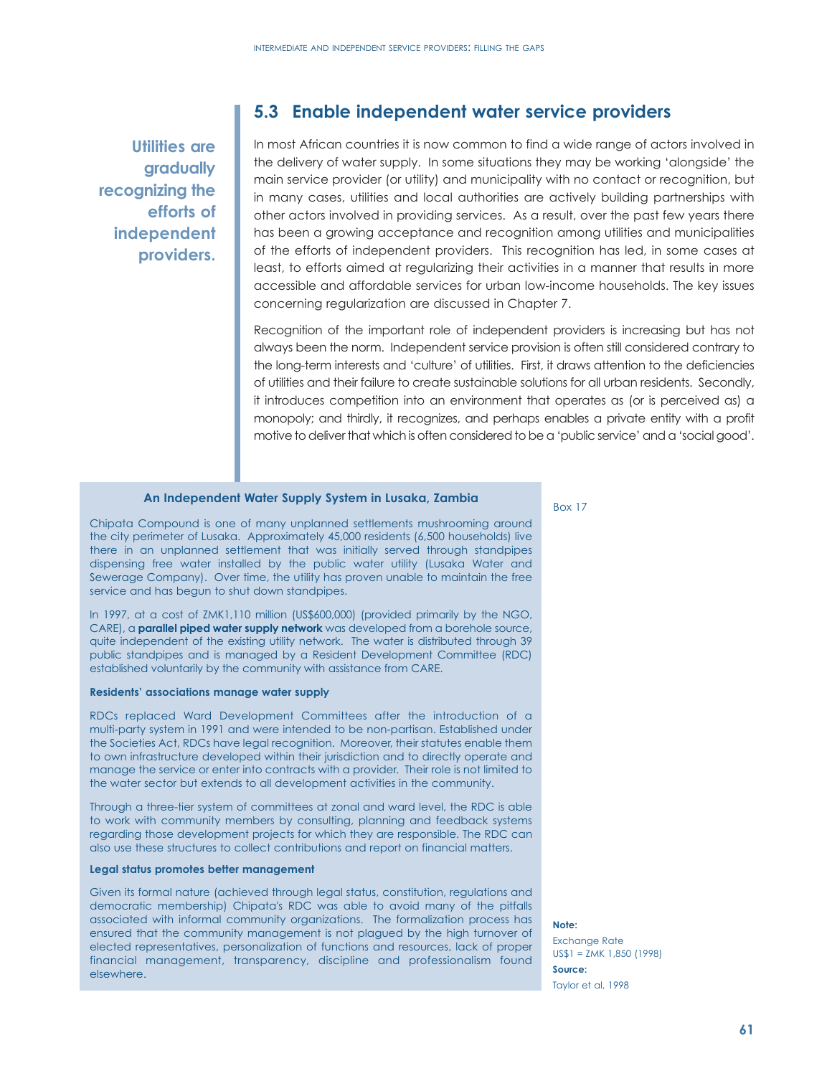**Utilities are gradually recognizing the efforts of independent providers.** 

# **5.3 Enable independent water service providers**

In most African countries it is now common to find a wide range of actors involved in the delivery of water supply. In some situations they may be working 'alongside' the main service provider (or utility) and municipality with no contact or recognition, but in many cases, utilities and local authorities are actively building partnerships with other actors involved in providing services. As a result, over the past few years there has been a growing acceptance and recognition among utilities and municipalities of the efforts of independent providers. This recognition has led, in some cases at least, to efforts aimed at regularizing their activities in a manner that results in more accessible and affordable services for urban low-income households. The key issues concerning regularization are discussed in Chapter 7.

Recognition of the important role of independent providers is increasing but has not always been the norm. Independent service provision is often still considered contrary to the long-term interests and 'culture' of utilities. First, it draws attention to the deficiencies of utilities and their failure to create sustainable solutions for all urban residents. Secondly, it introduces competition into an environment that operates as (or is perceived as) a monopoly; and thirdly, it recognizes, and perhaps enables a private entity with a profit motive to deliver that which is often considered to be a 'public service' and a 'social good'.

# Box 17 **An Independent Water Supply System in Lusaka, Zambia**

Chipata Compound is one of many unplanned settlements mushrooming around the city perimeter of Lusaka. Approximately 45,000 residents (6,500 households) live there in an unplanned settlement that was initially served through standpipes dispensing free water installed by the public water utility (Lusaka Water and Sewerage Company). Over time, the utility has proven unable to maintain the free service and has begun to shut down standpipes.

In 1997, at a cost of ZMK1,110 million (US\$600,000) (provided primarily by the NGO, CARE), a **parallel piped water supply network** was developed from a borehole source, quite independent of the existing utility network. The water is distributed through 39 public standpipes and is managed by a Resident Development Committee (RDC) established voluntarily by the community with assistance from CARE.

#### **Residents' associations manage water supply**

RDCs replaced Ward Development Committees after the introduction of a multi-party system in 1991 and were intended to be non-partisan. Established under the Societies Act, RDCs have legal recognition. Moreover, their statutes enable them to own infrastructure developed within their jurisdiction and to directly operate and manage the service or enter into contracts with a provider. Their role is not limited to the water sector but extends to all development activities in the community.

Through a three-tier system of committees at zonal and ward level, the RDC is able to work with community members by consulting, planning and feedback systems regarding those development projects for which they are responsible. The RDC can also use these structures to collect contributions and report on financial matters.

#### **Legal status promotes better management**

Given its formal nature (achieved through legal status, constitution, regulations and democratic membership) Chipata's RDC was able to avoid many of the pitfalls associated with informal community organizations. The formalization process has ensured that the community management is not plagued by the high turnover of elected representatives, personalization of functions and resources, lack of proper financial management, transparency, discipline and professionalism found elsewhere.

#### **Note:**

Exchange Rate US\$1 = ZMK 1,850 (1998) **Source:** Taylor et al, 1998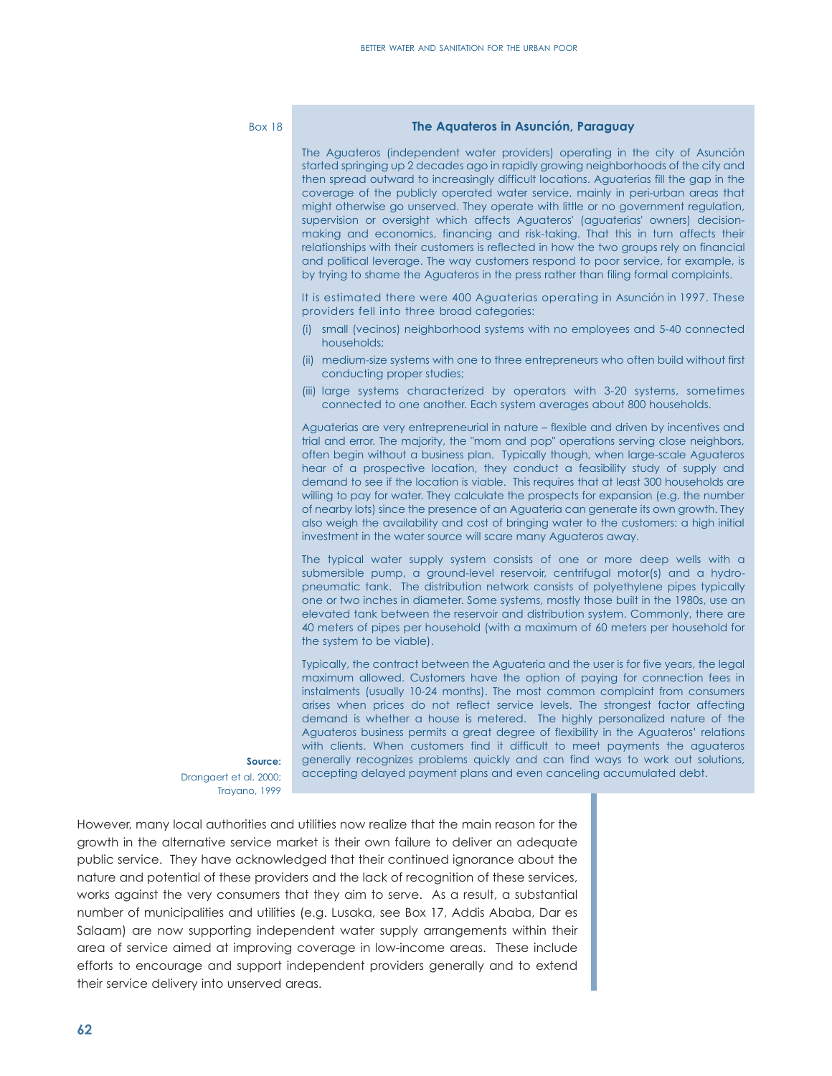#### Box 18

#### **The Aquateros in Asunción, Paraguay**

The Aguateros (independent water providers) operating in the city of Asunción started springing up 2 decades ago in rapidly growing neighborhoods of the city and then spread outward to increasingly difficult locations. Aguaterias fill the gap in the coverage of the publicly operated water service, mainly in peri-urban areas that might otherwise go unserved. They operate with little or no government regulation, supervision or oversight which affects Aguateros' (aguaterias' owners) decisionmaking and economics, financing and risk-taking. That this in turn affects their relationships with their customers is reflected in how the two groups rely on financial and political leverage. The way customers respond to poor service, for example, is by trying to shame the Aguateros in the press rather than filing formal complaints.

It is estimated there were 400 Aguaterias operating in Asunción in 1997. These providers fell into three broad categories:

- (i) small (vecinos) neighborhood systems with no employees and 5-40 connected households;
- (ii) medium-size systems with one to three entrepreneurs who often build without first conducting proper studies;
- (iii) large systems characterized by operators with 3-20 systems, sometimes connected to one another. Each system averages about 800 households.

Aguaterias are very entrepreneurial in nature – flexible and driven by incentives and trial and error. The majority, the "mom and pop" operations serving close neighbors, often begin without a business plan. Typically though, when large-scale Aguateros hear of a prospective location, they conduct a feasibility study of supply and demand to see if the location is viable. This requires that at least 300 households are willing to pay for water. They calculate the prospects for expansion (e.g. the number of nearby lots) since the presence of an Aguateria can generate its own growth. They also weigh the availability and cost of bringing water to the customers: a high initial investment in the water source will scare many Aguateros away.

The typical water supply system consists of one or more deep wells with a submersible pump, a ground-level reservoir, centrifugal motor(s) and a hydropneumatic tank. The distribution network consists of polyethylene pipes typically one or two inches in diameter. Some systems, mostly those built in the 1980s, use an elevated tank between the reservoir and distribution system. Commonly, there are 40 meters of pipes per household (with a maximum of 60 meters per household for the system to be viable).

Typically, the contract between the Aguateria and the user is for five years, the legal maximum allowed. Customers have the option of paying for connection fees in instalments (usually 10-24 months). The most common complaint from consumers arises when prices do not reflect service levels. The strongest factor affecting demand is whether a house is metered. The highly personalized nature of the Aguateros business permits a great degree of flexibility in the Aguateros' relations with clients. When customers find it difficult to meet payments the aguateros generally recognizes problems quickly and can find ways to work out solutions, accepting delayed payment plans and even canceling accumulated debt.

**Source:** Drangaert et al, 2000; Trayano, 1999

However, many local authorities and utilities now realize that the main reason for the growth in the alternative service market is their own failure to deliver an adequate public service. They have acknowledged that their continued ignorance about the nature and potential of these providers and the lack of recognition of these services, works against the very consumers that they aim to serve. As a result, a substantial number of municipalities and utilities (e.g. Lusaka, see Box 17, Addis Ababa, Dar es Salaam) are now supporting independent water supply arrangements within their area of service aimed at improving coverage in low-income areas. These include efforts to encourage and support independent providers generally and to extend their service delivery into unserved areas.